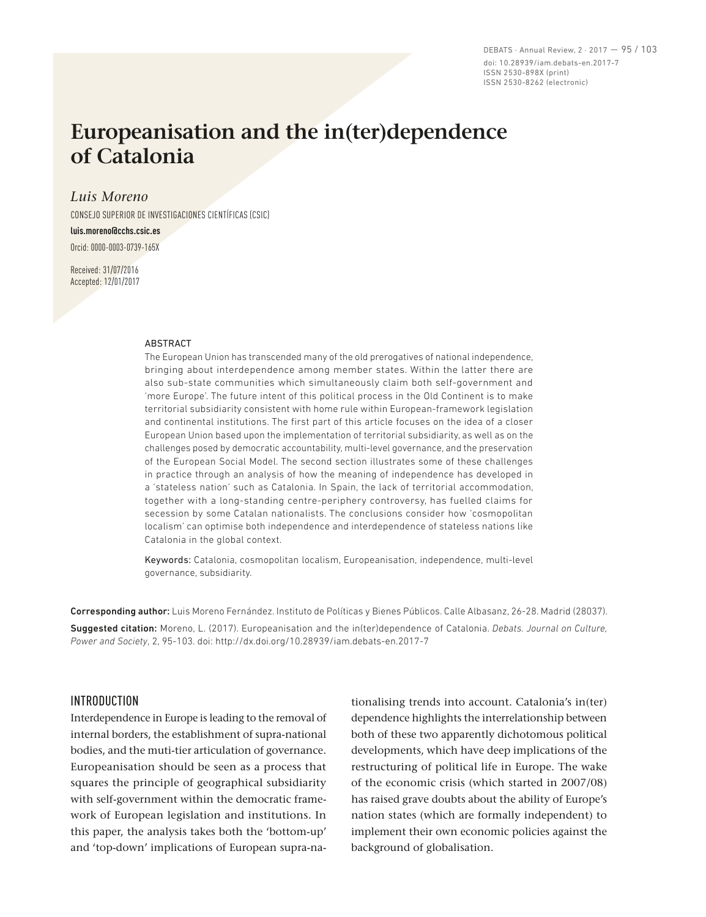DEBATS · Annual Review, 2 · 2017 — 95 / 103 doi: 10.28939/iam.debats-en.2017-7 ISSN 2530-898X (print) ISSN 2530-8262 (electronic)

# **Europeanisation and the in(ter)dependence of Catalonia**

## *Luis Moreno*

CONSEJO SUPERIOR DE INVESTIGACIONES CIENTÍFICAS (CSIC)

#### **luis.moreno@cchs.csic.es**

Orcid: 0000‑0003‑0739‑165X

Received: 31/07/2016 Accepted: 12/01/2017

#### **ABSTRACT**

The European Union has transcended many of the old prerogatives of national independence, bringing about interdependence among member states. Within the latter there are also sub-state communities which simultaneously claim both self-government and 'more Europe'. The future intent of this political process in the Old Continent is to make territorial subsidiarity consistent with home rule within European-framework legislation and continental institutions. The first part of this article focuses on the idea of a closer European Union based upon the implementation of territorial subsidiarity, as well as on the challenges posed by democratic accountability, multi-level governance, and the preservation of the European Social Model. The second section illustrates some of these challenges in practice through an analysis of how the meaning of independence has developed in a 'stateless nation' such as Catalonia. In Spain, the lack of territorial accommodation, together with a long-standing centre-periphery controversy, has fuelled claims for secession by some Catalan nationalists. The conclusions consider how 'cosmopolitan localism' can optimise both independence and interdependence of stateless nations like Catalonia in the global context.

Keywords: Catalonia, cosmopolitan localism, Europeanisation, independence, multi-level governance, subsidiarity.

Corresponding author: Luis Moreno Fernández. Instituto de Políticas y Bienes Públicos. Calle Albasanz, 26-28. Madrid (28037). Suggested citation: Moreno, L. (2017). Europeanisation and the in(ter)dependence of Catalonia. *Debats. Journal on Culture, Power and Society*, 2, 95-103. doi: http://dx.doi.org/10.28939/iam.debats-en.2017-7

## INTRODUCTION

Interdependence in Europe is leading to the removal of internal borders, the establishment of supra-national bodies, and the muti-tier articulation of governance. Europeanisation should be seen as a process that squares the principle of geographical subsidiarity with self-government within the democratic framework of European legislation and institutions. In this paper, the analysis takes both the 'bottom‑up' and 'top-down' implications of European supra-nationalising trends into account. Catalonia's in(ter) dependence highlights the interrelationship between both of these two apparently dichotomous political developments, which have deep implications of the restructuring of political life in Europe. The wake of the economic crisis (which started in 2007/08) has raised grave doubts about the ability of Europe's nation states (which are formally independent) to implement their own economic policies against the background of globalisation.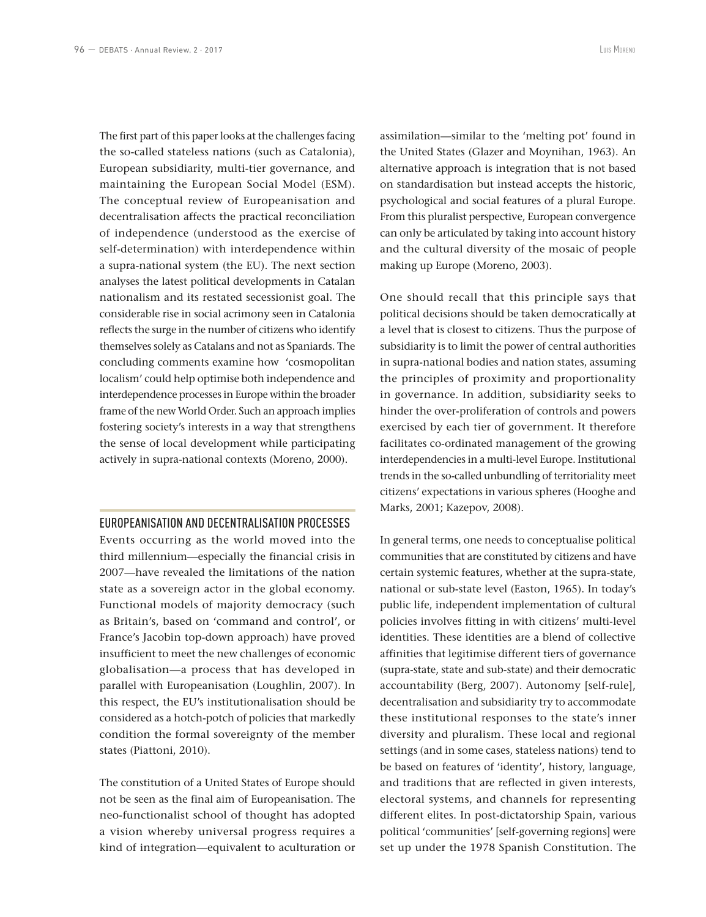The first part of this paper looks at the challenges facing the so‑called stateless nations (such as Catalonia), European subsidiarity, multi-tier governance, and maintaining the European Social Model (ESM). The conceptual review of Europeanisation and decentralisation affects the practical reconciliation of independence (understood as the exercise of self-determination) with interdependence within a supra‑national system (the EU). The next section analyses the latest political developments in Catalan nationalism and its restated secessionist goal. The considerable rise in social acrimony seen in Catalonia reflects the surge in the number of citizens who identify themselves solely as Catalans and not as Spaniards. The concluding comments examine how 'cosmopolitan localism' could help optimise both independence and interdependence processes in Europe within the broader frame of the new World Order. Such an approach implies fostering society's interests in a way that strengthens the sense of local development while participating actively in supra‑national contexts (Moreno, 2000).

### EUROPEANISATION AND DECENTRALISATION PROCESSES

Events occurring as the world moved into the third millennium—especially the financial crisis in 2007—have revealed the limitations of the nation state as a sovereign actor in the global economy. Functional models of majority democracy (such as Britain's, based on 'command and control', or France's Jacobin top‑down approach) have proved insufficient to meet the new challenges of economic globalisation—a process that has developed in parallel with Europeanisation (Loughlin, 2007). In this respect, the EU's institutionalisation should be considered as a hotch‑potch of policies that markedly condition the formal sovereignty of the member states (Piattoni, 2010).

The constitution of a United States of Europe should not be seen as the final aim of Europeanisation. The neo‑functionalist school of thought has adopted a vision whereby universal progress requires a kind of integration—equivalent to aculturation or

assimilation—similar to the 'melting pot' found in the United States (Glazer and Moynihan, 1963). An alternative approach is integration that is not based on standardisation but instead accepts the historic, psychological and social features of a plural Europe. From this pluralist perspective, European convergence can only be articulated by taking into account history and the cultural diversity of the mosaic of people making up Europe (Moreno, 2003).

One should recall that this principle says that political decisions should be taken democratically at a level that is closest to citizens. Thus the purpose of subsidiarity is to limit the power of central authorities in supra‑national bodies and nation states, assuming the principles of proximity and proportionality in governance. In addition, subsidiarity seeks to hinder the over‑proliferation of controls and powers exercised by each tier of government. It therefore facilitates co‑ordinated management of the growing interdependencies in a multi‑level Europe. Institutional trends in the so-called unbundling of territoriality meet citizens' expectations in various spheres (Hooghe and Marks, 2001; Kazepov, 2008).

In general terms, one needs to conceptualise political communities that are constituted by citizens and have certain systemic features, whether at the supra-state, national or sub‑state level (Easton, 1965). In today's public life, independent implementation of cultural policies involves fitting in with citizens' multi‑level identities. These identities are a blend of collective affinities that legitimise different tiers of governance (supra‑state, state and sub‑state) and their democratic accountability (Berg, 2007). Autonomy [self-rule], decentralisation and subsidiarity try to accommodate these institutional responses to the state's inner diversity and pluralism. These local and regional settings (and in some cases, stateless nations) tend to be based on features of 'identity', history, language, and traditions that are reflected in given interests, electoral systems, and channels for representing different elites. In post-dictatorship Spain, various political 'communities' [self‑governing regions] were set up under the 1978 Spanish Constitution. The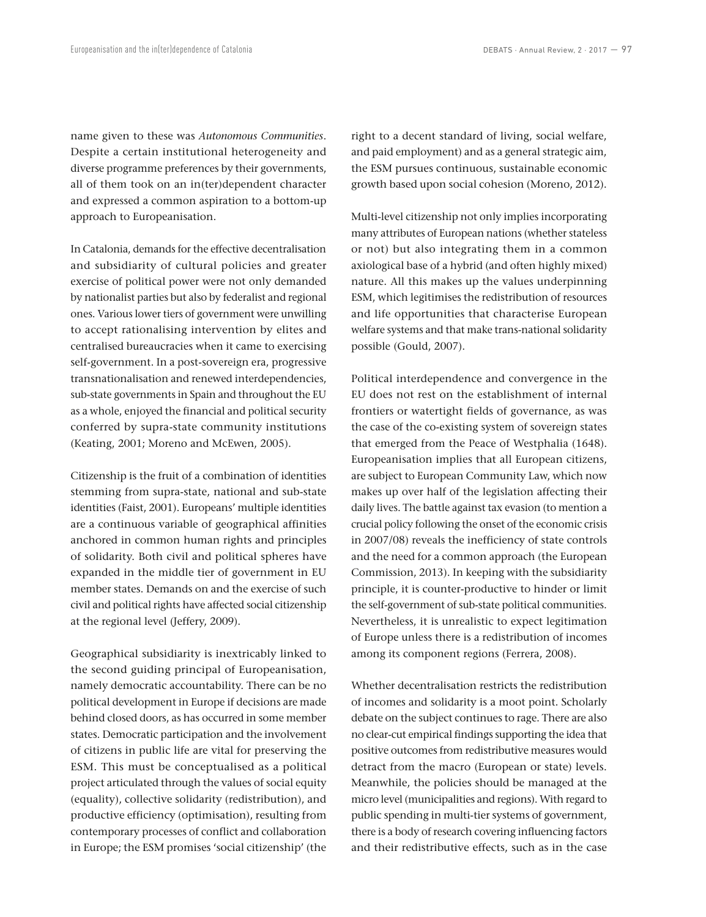name given to these was *Autonomous Communities*. Despite a certain institutional heterogeneity and diverse programme preferences by their governments, all of them took on an in(ter)dependent character and expressed a common aspiration to a bottom-up approach to Europeanisation.

In Catalonia, demands for the effective decentralisation and subsidiarity of cultural policies and greater exercise of political power were not only demanded by nationalist parties but also by federalist and regional ones. Various lower tiers of government were unwilling to accept rationalising intervention by elites and centralised bureaucracies when it came to exercising self-government. In a post-sovereign era, progressive transnationalisation and renewed interdependencies, sub-state governments in Spain and throughout the EU as a whole, enjoyed the financial and political security conferred by supra‑state community institutions (Keating, 2001; Moreno and McEwen, 2005).

Citizenship is the fruit of a combination of identities stemming from supra-state, national and sub-state identities (Faist, 2001). Europeans' multiple identities are a continuous variable of geographical affinities anchored in common human rights and principles of solidarity. Both civil and political spheres have expanded in the middle tier of government in EU member states. Demands on and the exercise of such civil and political rights have affected social citizenship at the regional level (Jeffery, 2009).

Geographical subsidiarity is inextricably linked to the second guiding principal of Europeanisation, namely democratic accountability. There can be no political development in Europe if decisions are made behind closed doors, as has occurred in some member states. Democratic participation and the involvement of citizens in public life are vital for preserving the ESM. This must be conceptualised as a political project articulated through the values of social equity (equality), collective solidarity (redistribution), and productive efficiency (optimisation), resulting from contemporary processes of conflict and collaboration in Europe; the ESM promises 'social citizenship' (the

right to a decent standard of living, social welfare, and paid employment) and as a general strategic aim, the ESM pursues continuous, sustainable economic growth based upon social cohesion (Moreno, 2012).

Multi‑level citizenship not only implies incorporating many attributes of European nations (whether stateless or not) but also integrating them in a common axiological base of a hybrid (and often highly mixed) nature. All this makes up the values underpinning ESM, which legitimises the redistribution of resources and life opportunities that characterise European welfare systems and that make trans‑national solidarity possible (Gould, 2007).

Political interdependence and convergence in the EU does not rest on the establishment of internal frontiers or watertight fields of governance, as was the case of the co-existing system of sovereign states that emerged from the Peace of Westphalia (1648). Europeanisation implies that all European citizens, are subject to European Community Law, which now makes up over half of the legislation affecting their daily lives. The battle against tax evasion (to mention a crucial policy following the onset of the economic crisis in 2007/08) reveals the inefficiency of state controls and the need for a common approach (the European Commission, 2013). In keeping with the subsidiarity principle, it is counter-productive to hinder or limit the self-government of sub-state political communities. Nevertheless, it is unrealistic to expect legitimation of Europe unless there is a redistribution of incomes among its component regions (Ferrera, 2008).

Whether decentralisation restricts the redistribution of incomes and solidarity is a moot point. Scholarly debate on the subject continues to rage. There are also no clear‑cut empirical findings supporting the idea that positive outcomes from redistributive measures would detract from the macro (European or state) levels. Meanwhile, the policies should be managed at the micro level (municipalities and regions). With regard to public spending in multi-tier systems of government, there is a body of research covering influencing factors and their redistributive effects, such as in the case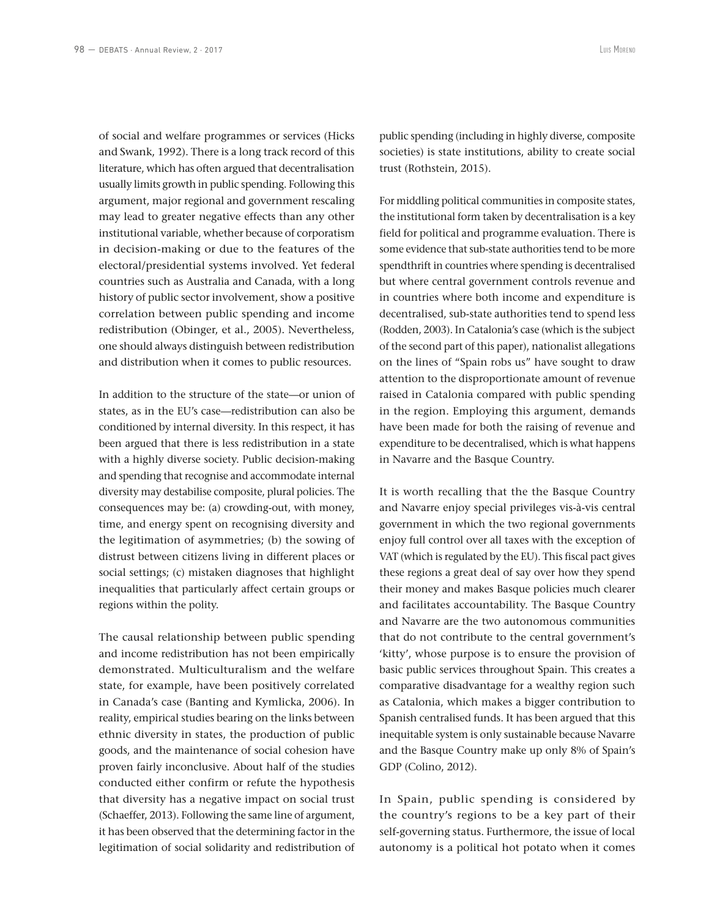of social and welfare programmes or services (Hicks and Swank, 1992). There is a long track record of this literature, which has often argued that decentralisation usually limits growth in public spending. Following this argument, major regional and government rescaling may lead to greater negative effects than any other institutional variable, whether because of corporatism in decision‑making or due to the features of the electoral/presidential systems involved. Yet federal countries such as Australia and Canada, with a long history of public sector involvement, show a positive correlation between public spending and income redistribution (Obinger, et al., 2005). Nevertheless, one should always distinguish between redistribution and distribution when it comes to public resources.

In addition to the structure of the state—or union of states, as in the EU's case—redistribution can also be conditioned by internal diversity. In this respect, it has been argued that there is less redistribution in a state with a highly diverse society. Public decision-making and spending that recognise and accommodate internal diversity may destabilise composite, plural policies. The consequences may be: (a) crowding‑out, with money, time, and energy spent on recognising diversity and the legitimation of asymmetries; (b) the sowing of distrust between citizens living in different places or social settings; (c) mistaken diagnoses that highlight inequalities that particularly affect certain groups or regions within the polity.

The causal relationship between public spending and income redistribution has not been empirically demonstrated. Multiculturalism and the welfare state, for example, have been positively correlated in Canada's case (Banting and Kymlicka, 2006). In reality, empirical studies bearing on the links between ethnic diversity in states, the production of public goods, and the maintenance of social cohesion have proven fairly inconclusive. About half of the studies conducted either confirm or refute the hypothesis that diversity has a negative impact on social trust (Schaeffer, 2013). Following the same line of argument, it has been observed that the determining factor in the legitimation of social solidarity and redistribution of

public spending (including in highly diverse, composite societies) is state institutions, ability to create social trust (Rothstein, 2015).

For middling political communities in composite states, the institutional form taken by decentralisation is a key field for political and programme evaluation. There is some evidence that sub-state authorities tend to be more spendthrift in countries where spending is decentralised but where central government controls revenue and in countries where both income and expenditure is decentralised, sub‑state authorities tend to spend less (Rodden, 2003). In Catalonia's case (which is the subject of the second part of this paper), nationalist allegations on the lines of "Spain robs us" have sought to draw attention to the disproportionate amount of revenue raised in Catalonia compared with public spending in the region. Employing this argument, demands have been made for both the raising of revenue and expenditure to be decentralised, which is what happens in Navarre and the Basque Country.

It is worth recalling that the the Basque Country and Navarre enjoy special privileges vis‑à-vis central government in which the two regional governments enjoy full control over all taxes with the exception of VAT (which is regulated by the EU). This fiscal pact gives these regions a great deal of say over how they spend their money and makes Basque policies much clearer and facilitates accountability. The Basque Country and Navarre are the two autonomous communities that do not contribute to the central government's 'kitty', whose purpose is to ensure the provision of basic public services throughout Spain. This creates a comparative disadvantage for a wealthy region such as Catalonia, which makes a bigger contribution to Spanish centralised funds. It has been argued that this inequitable system is only sustainable because Navarre and the Basque Country make up only 8% of Spain's GDP (Colino, 2012).

In Spain, public spending is considered by the country's regions to be a key part of their self-governing status. Furthermore, the issue of local autonomy is a political hot potato when it comes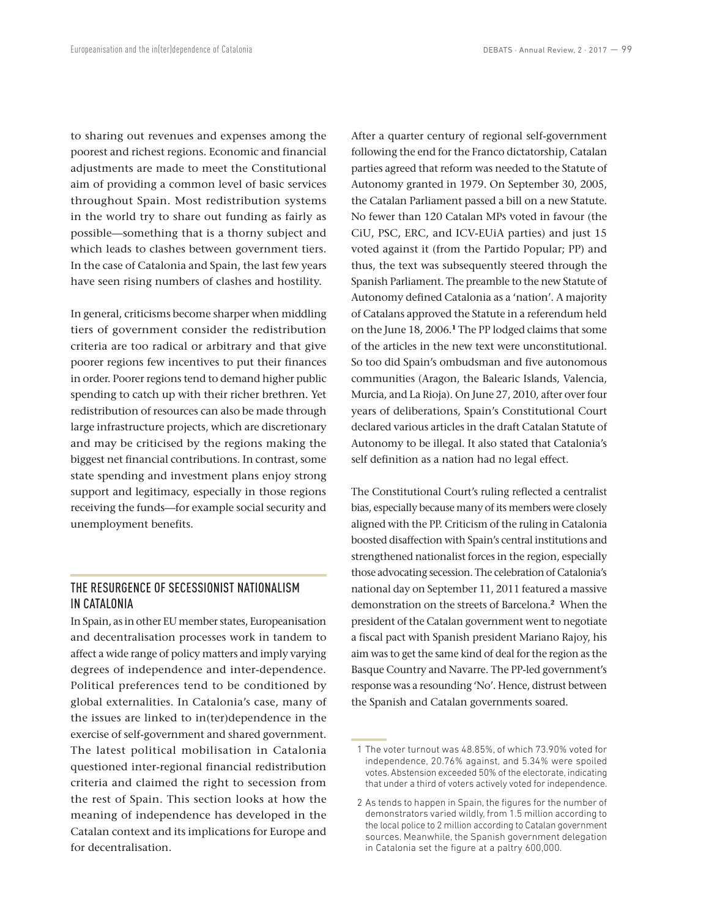to sharing out revenues and expenses among the poorest and richest regions. Economic and financial adjustments are made to meet the Constitutional aim of providing a common level of basic services throughout Spain. Most redistribution systems in the world try to share out funding as fairly as possible—something that is a thorny subject and which leads to clashes between government tiers. In the case of Catalonia and Spain, the last few years have seen rising numbers of clashes and hostility.

In general, criticisms become sharper when middling tiers of government consider the redistribution criteria are too radical or arbitrary and that give poorer regions few incentives to put their finances in order. Poorer regions tend to demand higher public spending to catch up with their richer brethren. Yet redistribution of resources can also be made through large infrastructure projects, which are discretionary and may be criticised by the regions making the biggest net financial contributions. In contrast, some state spending and investment plans enjoy strong support and legitimacy, especially in those regions receiving the funds—for example social security and unemployment benefits.

## THE RESURGENCE OF SECESSIONIST NATIONALISM IN CATALONIA

In Spain, as in other EU member states, Europeanisation and decentralisation processes work in tandem to affect a wide range of policy matters and imply varying degrees of independence and inter-dependence. Political preferences tend to be conditioned by global externalities. In Catalonia's case, many of the issues are linked to in(ter)dependence in the exercise of self‑government and shared government. The latest political mobilisation in Catalonia questioned inter‑regional financial redistribution criteria and claimed the right to secession from the rest of Spain. This section looks at how the meaning of independence has developed in the Catalan context and its implications for Europe and for decentralisation.

After a quarter century of regional self‑government following the end for the Franco dictatorship, Catalan parties agreed that reform was needed to the Statute of Autonomy granted in 1979. On September 30, 2005, the Catalan Parliament passed a bill on a new Statute. No fewer than 120 Catalan MPs voted in favour (the CiU, PSC, ERC, and ICV‑EUiA parties) and just 15 voted against it (from the Partido Popular; PP) and thus, the text was subsequently steered through the Spanish Parliament. The preamble to the new Statute of Autonomy defined Catalonia as a 'nation'. A majority of Catalans approved the Statute in a referendum held on the June 18, 2006.**<sup>1</sup>** The PP lodged claims that some of the articles in the new text were unconstitutional. So too did Spain's ombudsman and five autonomous communities (Aragon, the Balearic Islands, Valencia, Murcia, and La Rioja). On June 27, 2010, after over four years of deliberations, Spain's Constitutional Court declared various articles in the draft Catalan Statute of Autonomy to be illegal. It also stated that Catalonia's self definition as a nation had no legal effect.

The Constitutional Court's ruling reflected a centralist bias, especially because many of its members were closely aligned with the PP. Criticism of the ruling in Catalonia boosted disaffection with Spain's central institutions and strengthened nationalist forces in the region, especially those advocating secession. The celebration of Catalonia's national day on September 11, 2011 featured a massive demonstration on the streets of Barcelona.**<sup>2</sup>** When the president of the Catalan government went to negotiate a fiscal pact with Spanish president Mariano Rajoy, his aim was to get the same kind of deal for the region as the Basque Country and Navarre. The PP‑led government's response was a resounding 'No'. Hence, distrust between the Spanish and Catalan governments soared.

 <sup>1</sup> The voter turnout was 48.85%, of which 73.90% voted for independence, 20.76% against, and 5.34% were spoiled votes. Abstension exceeded 50% of the electorate, indicating that under a third of voters actively voted for independence.

 <sup>2</sup> As tends to happen in Spain, the figures for the number of demonstrators varied wildly, from 1.5 million according to the local police to 2 million according to Catalan government sources. Meanwhile, the Spanish government delegation in Catalonia set the figure at a paltry 600,000.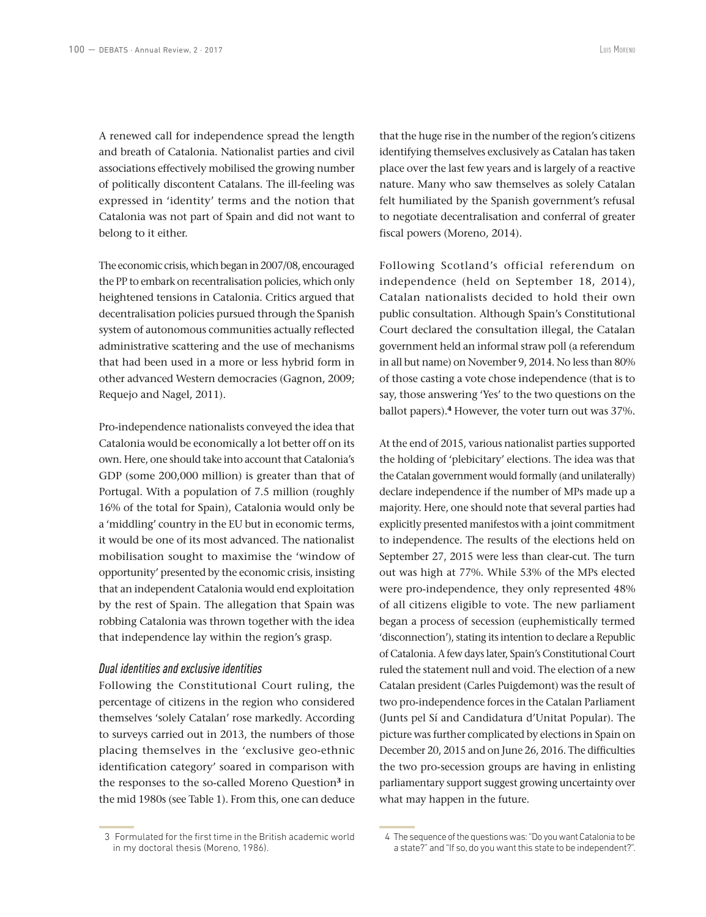A renewed call for independence spread the length and breath of Catalonia. Nationalist parties and civil associations effectively mobilised the growing number of politically discontent Catalans. The ill-feeling was expressed in 'identity' terms and the notion that Catalonia was not part of Spain and did not want to belong to it either.

The economic crisis, which began in 2007/08, encouraged the PP to embark on recentralisation policies, which only heightened tensions in Catalonia. Critics argued that decentralisation policies pursued through the Spanish system of autonomous communities actually reflected administrative scattering and the use of mechanisms that had been used in a more or less hybrid form in other advanced Western democracies (Gagnon, 2009; Requejo and Nagel, 2011).

Pro-independence nationalists conveyed the idea that Catalonia would be economically a lot better off on its own. Here, one should take into account that Catalonia's GDP (some 200,000 million) is greater than that of Portugal. With a population of 7.5 million (roughly 16% of the total for Spain), Catalonia would only be a 'middling' country in the EU but in economic terms, it would be one of its most advanced. The nationalist mobilisation sought to maximise the 'window of opportunity' presented by the economic crisis, insisting that an independent Catalonia would end exploitation by the rest of Spain. The allegation that Spain was robbing Catalonia was thrown together with the idea that independence lay within the region's grasp.

### *Dual identities and exclusive identities*

Following the Constitutional Court ruling, the percentage of citizens in the region who considered themselves 'solely Catalan' rose markedly. According to surveys carried out in 2013, the numbers of those placing themselves in the 'exclusive geo‑ethnic identification category' soared in comparison with the responses to the so‑called Moreno Question**<sup>3</sup>** in the mid 1980s (see Table 1). From this, one can deduce that the huge rise in the number of the region's citizens identifying themselves exclusively as Catalan has taken place over the last few years and is largely of a reactive nature. Many who saw themselves as solely Catalan felt humiliated by the Spanish government's refusal to negotiate decentralisation and conferral of greater fiscal powers (Moreno, 2014).

Following Scotland's official referendum on independence (held on September 18, 2014), Catalan nationalists decided to hold their own public consultation. Although Spain's Constitutional Court declared the consultation illegal, the Catalan government held an informal straw poll (a referendum in all but name) on November 9, 2014. No less than 80% of those casting a vote chose independence (that is to say, those answering 'Yes' to the two questions on the ballot papers).**<sup>4</sup>** However, the voter turn out was 37%.

At the end of 2015, various nationalist parties supported the holding of 'plebicitary' elections. The idea was that the Catalan government would formally (and unilaterally) declare independence if the number of MPs made up a majority. Here, one should note that several parties had explicitly presented manifestos with a joint commitment to independence. The results of the elections held on September 27, 2015 were less than clear-cut. The turn out was high at 77%. While 53% of the MPs elected were pro-independence, they only represented 48% of all citizens eligible to vote. The new parliament began a process of secession (euphemistically termed 'disconnection'), stating its intention to declare a Republic of Catalonia. A few days later, Spain's Constitutional Court ruled the statement null and void. The election of a new Catalan president (Carles Puigdemont) was the result of two pro‑independence forces in the Catalan Parliament (Junts pel Sí and Candidatura d'Unitat Popular). The picture was further complicated by elections in Spain on December 20, 2015 and on June 26, 2016. The difficulties the two pro‑secession groups are having in enlisting parliamentary support suggest growing uncertainty over what may happen in the future.

 <sup>3</sup> Formulated for the first time in the British academic world in my doctoral thesis (Moreno, 1986).

 <sup>4</sup> The sequence of the questions was: "Do you want Catalonia to be a state?" and "If so, do you want this state to be independent?".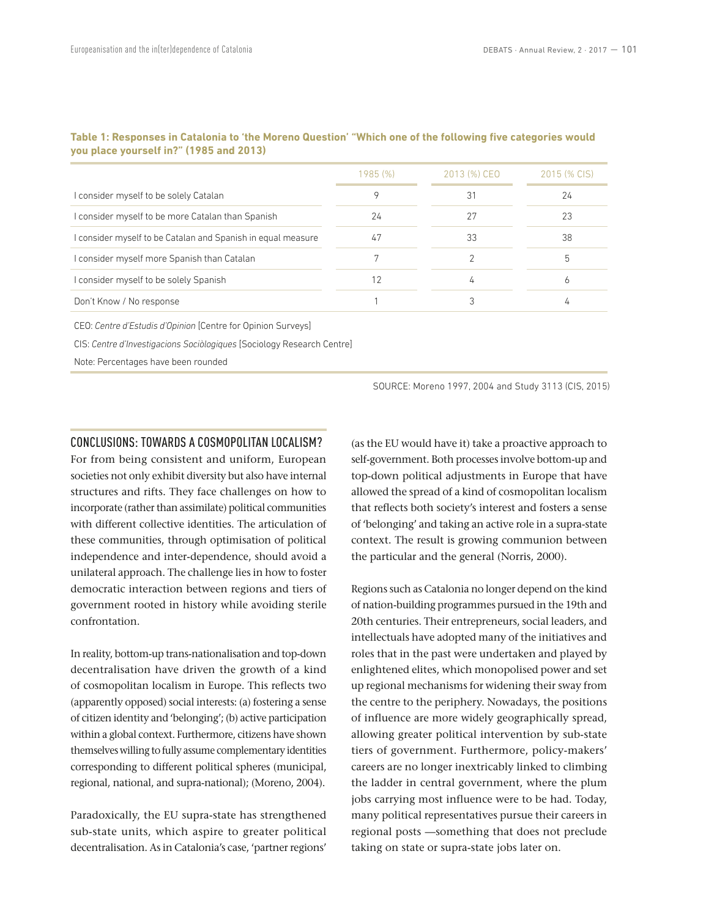|                                                            | 1985(%) | 2013 (%) CEO | 2015 (% CIS) |
|------------------------------------------------------------|---------|--------------|--------------|
| I consider myself to be solely Catalan                     | 9       | 31           | 24           |
| I consider myself to be more Catalan than Spanish          | 24      |              | 23           |
| consider myself to be Catalan and Spanish in equal measure | 47      | 33           | 38           |
| I consider myself more Spanish than Catalan                |         |              | 5            |
| I consider myself to be solely Spanish                     | 12      | 4            | 6            |
| Don't Know / No response                                   |         |              |              |

## **Table 1: Responses in Catalonia to 'the Moreno Question' "Which one of the following five categories would you place yourself in?" (1985 and 2013)**

CEO: *Centre d'Estudis d'Opinion* [Centre for Opinion Surveys]

CIS: *Centre d'Investigacions Sociòlogiques* [Sociology Research Centre]

Note: Percentages have been rounded

SOURCE: Moreno 1997, 2004 and Study 3113 (CIS, 2015)

## CONCLUSIONS: TOWARDS A COSMOPOLITAN LOCALISM?

For from being consistent and uniform, European societies not only exhibit diversity but also have internal structures and rifts. They face challenges on how to incorporate (rather than assimilate) political communities with different collective identities. The articulation of these communities, through optimisation of political independence and inter-dependence, should avoid a unilateral approach. The challenge lies in how to foster democratic interaction between regions and tiers of government rooted in history while avoiding sterile confrontation.

In reality, bottom‑up trans‑nationalisation and top‑down decentralisation have driven the growth of a kind of cosmopolitan localism in Europe. This reflects two (apparently opposed) social interests: (a) fostering a sense of citizen identity and 'belonging'; (b) active participation within a global context. Furthermore, citizens have shown themselves willing to fully assume complementary identities corresponding to different political spheres (municipal, regional, national, and supra‑national); (Moreno, 2004).

Paradoxically, the EU supra‑state has strengthened sub‑state units, which aspire to greater political decentralisation. As in Catalonia's case, 'partner regions'

(as the EU would have it) take a proactive approach to self-government. Both processes involve bottom-up and top‑down political adjustments in Europe that have allowed the spread of a kind of cosmopolitan localism that reflects both society's interest and fosters a sense of 'belonging' and taking an active role in a supra‑state context. The result is growing communion between the particular and the general (Norris, 2000).

Regions such as Catalonia no longer depend on the kind of nation‑building programmes pursued in the 19th and 20th centuries. Their entrepreneurs, social leaders, and intellectuals have adopted many of the initiatives and roles that in the past were undertaken and played by enlightened elites, which monopolised power and set up regional mechanisms for widening their sway from the centre to the periphery. Nowadays, the positions of influence are more widely geographically spread, allowing greater political intervention by sub-state tiers of government. Furthermore, policy-makers' careers are no longer inextricably linked to climbing the ladder in central government, where the plum jobs carrying most influence were to be had. Today, many political representatives pursue their careers in regional posts —something that does not preclude taking on state or supra‑state jobs later on.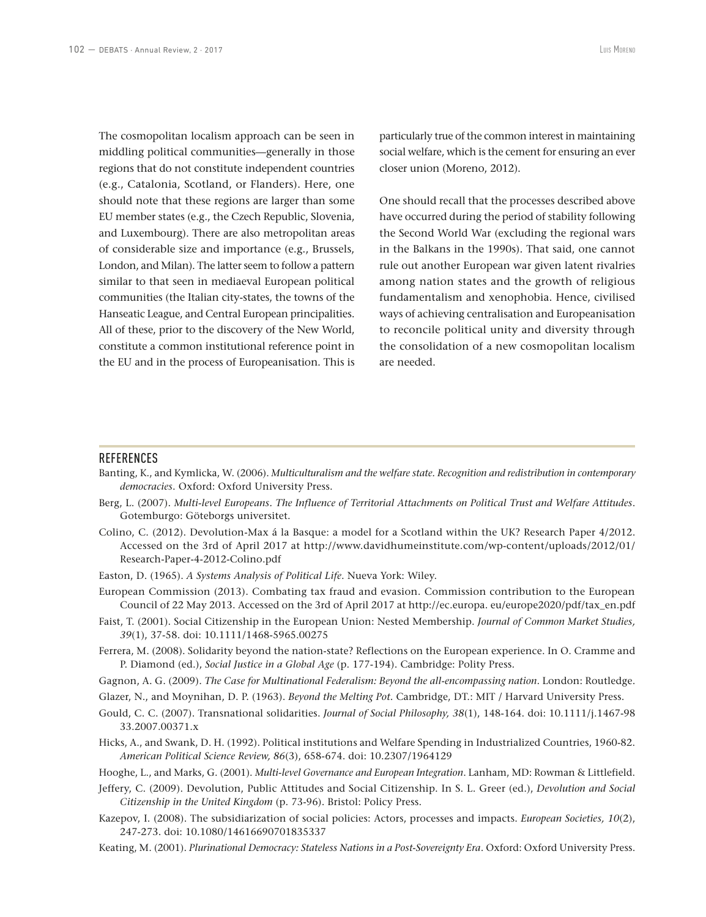The cosmopolitan localism approach can be seen in middling political communities—generally in those regions that do not constitute independent countries (e.g., Catalonia, Scotland, or Flanders). Here, one should note that these regions are larger than some EU member states (e.g., the Czech Republic, Slovenia, and Luxembourg). There are also metropolitan areas of considerable size and importance (e.g., Brussels, London, and Milan). The latter seem to follow a pattern similar to that seen in mediaeval European political communities (the Italian city-states, the towns of the Hanseatic League, and Central European principalities. All of these, prior to the discovery of the New World, constitute a common institutional reference point in the EU and in the process of Europeanisation. This is

particularly true of the common interest in maintaining social welfare, which is the cement for ensuring an ever closer union (Moreno, 2012).

One should recall that the processes described above have occurred during the period of stability following the Second World War (excluding the regional wars in the Balkans in the 1990s). That said, one cannot rule out another European war given latent rivalries among nation states and the growth of religious fundamentalism and xenophobia. Hence, civilised ways of achieving centralisation and Europeanisation to reconcile political unity and diversity through the consolidation of a new cosmopolitan localism are needed.

#### **REFERENCES**

- Banting, K., and Kymlicka, W. (2006). *Multiculturalism and the welfare state. Recognition and redistribution in contemporary democracies*. Oxford: Oxford University Press.
- Berg, L. (2007). *Multi-level Europeans. The Influence of Territorial Attachments on Political Trust and Welfare Attitudes.* Gotemburgo: Göteborgs universitet.
- Colino, C. (2012). Devolution‑Max á la Basque: a model for a Scotland within the UK? Research Paper 4/2012. Accessed on the 3rd of April 2017 at http://www.davidhumeinstitute.com/wp‑content/uploads/2012/01/ Research‑Paper‑4‑2012-Colino.pdf
- Easton, D. (1965). *A Systems Analysis of Political Life*. Nueva York: Wiley.
- European Commission (2013). Combating tax fraud and evasion. Commission contribution to the European Council of 22 May 2013. Accessed on the 3rd of April 2017 at http://ec.europa. eu/europe2020/pdf/tax\_en.pdf
- Faist, T. (2001). Social Citizenship in the European Union: Nested Membership. *Journal of Common Market Studies, 39*(1), 37‑58. doi: 10.1111/1468‑5965.00275
- Ferrera, M. (2008). Solidarity beyond the nation-state? Reflections on the European experience. In O. Cramme and P. Diamond (ed.), *Social Justice in a Global Age* (p. 177‑194). Cambridge: Polity Press.
- Gagnon, A. G. (2009). *The Case for Multinational Federalism: Beyond the all‑encompassing nation*. London: Routledge.
- Glazer, N., and Moynihan, D. P. (1963). *Beyond the Melting Pot*. Cambridge, DT.: MIT / Harvard University Press.
- Gould, C. C. (2007). Transnational solidarities. *Journal of Social Philosophy, 38*(1), 148‑164. doi: 10.1111/j.1467‑98 33.2007.00371.x
- Hicks, A., and Swank, D. H. (1992). Political institutions and Welfare Spending in Industrialized Countries, 1960‑82. *American Political Science Review, 86*(3), 658‑674. doi: 10.2307/1964129

Hooghe, L., and Marks, G. (2001). *Multi‑level Governance and European Integration*. Lanham, MD: Rowman & Littlefield.

- Jeffery, C. (2009). Devolution, Public Attitudes and Social Citizenship. In S. L. Greer (ed.), *Devolution and Social Citizenship in the United Kingdom* (p. 73‑96). Bristol: Policy Press.
- Kazepov, I. (2008). The subsidiarization of social policies: Actors, processes and impacts. *European Societies, 10*(2), 247‑273. doi: 10.1080/14616690701835337
- Keating, M. (2001). *Plurinational Democracy: Stateless Nations in a Post‑Sovereignty Era*. Oxford: Oxford University Press.